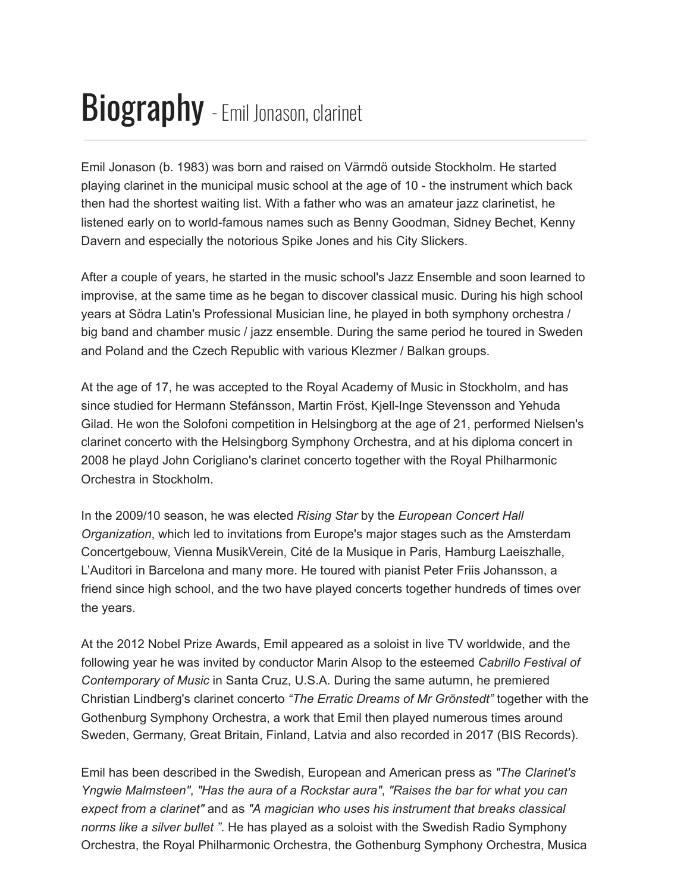## **Biography** - Emil Jonason, clarinet

Emil Jonason (b. 1983) was born and raised on Värmdö outside Stockholm. He started playing clarinet in the municipal music school at the age of 10 - the instrument which back then had the shortest waiting list. With a father who was an amateur jazz clarinetist, he listened early on to world-famous names such as Benny Goodman, Sidney Bechet, Kenny Davern and especially the notorious Spike Jones and his City Slickers.

After a couple of years, he started in the music school's Jazz Ensemble and soon learned to improvise, at the same time as he began to discover classical music. During his high school years at Södra Latin's Professional Musician line, he played in both symphony orchestra / big band and chamber music / jazz ensemble. During the same period he toured in Sweden and Poland and the Czech Republic with various Klezmer / Balkan groups.

At the age of 17, he was accepted to the Royal Academy of Music in Stockholm, and has since studied for Hermann Stefánsson, Martin Fröst, Kjell-Inge Stevensson and Yehuda Gilad. He won the Solofoni competition in Helsingborg at the age of 21, performed Nielsen's clarinet concerto with the Helsingborg Symphony Orchestra, and at his diploma concert in 2008 he playd John Corigliano's clarinet concerto together with the Royal Philharmonic Orchestra in Stockholm.

In the 2009/10 season, he was elected *Rising Star* by the *European Concert Hall Organization*, which led to invitations from Europe's major stages such as the Amsterdam Concertgebouw, Vienna MusikVerein, Cité de la Musique in Paris, Hamburg Laeiszhalle, L'Auditori in Barcelona and many more. He toured with pianist Peter Friis Johansson, a friend since high school, and the two have played concerts together hundreds of times over the years.

At the 2012 Nobel Prize Awards, Emil appeared as a soloist in live TV worldwide, and the following year he was invited by conductor Marin Alsop to the esteemed *Cabrillo Festival of Contemporary of Music* in Santa Cruz, U.S.A. During the same autumn, he premiered Christian Lindberg's clarinet concerto "The Erratic Dreams of Mr Grönstedt" together with the Gothenburg Symphony Orchestra, a work that Emil then played numerous times around Sweden, Germany, Great Britain, Finland, Latvia and also recorded in 2017 (BIS Records).

Emil has been described in the Swedish, European and American press as *"The Clarinet's Yngwie Malmsteen", "Has the aura of a Rockstar aura", "Raises the bar for what you can expect from a clarinet"* and as "A *magician who uses his instrument that breaks classical norms like a silver bullet* ". He has played as a soloist with the Swedish Radio Symphony Orchestra, the Royal Philharmonic Orchestra, the Gothenburg Symphony Orchestra, Musica